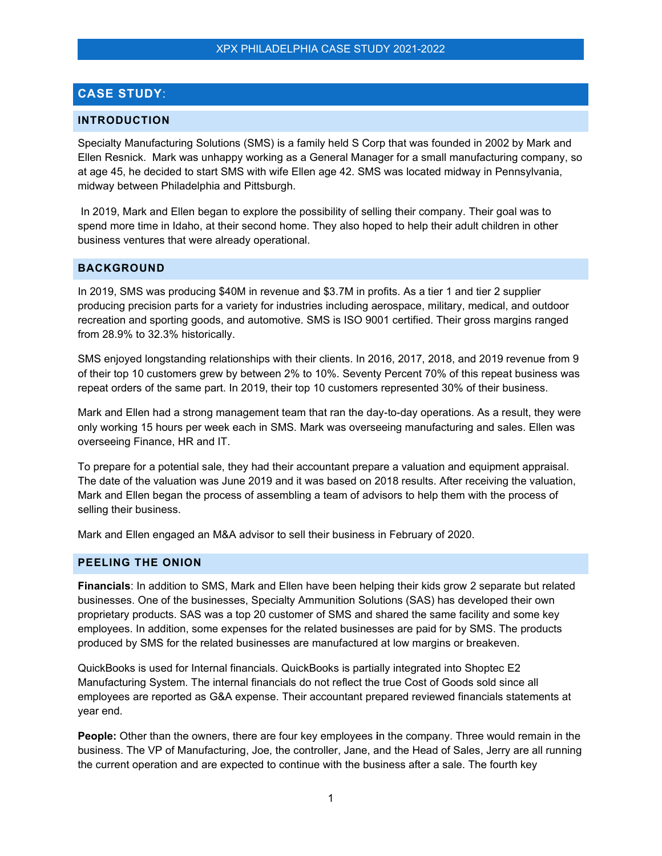# **CASE STUDY**:

### **INTRODUCTION**

Specialty Manufacturing Solutions (SMS) is a family held S Corp that was founded in 2002 by Mark and Ellen Resnick. Mark was unhappy working as a General Manager for a small manufacturing company, so at age 45, he decided to start SMS with wife Ellen age 42. SMS was located midway in Pennsylvania, midway between Philadelphia and Pittsburgh.

In 2019, Mark and Ellen began to explore the possibility of selling their company. Their goal was to spend more time in Idaho, at their second home. They also hoped to help their adult children in other business ventures that were already operational.

## **BACKGROUND**

In 2019, SMS was producing \$40M in revenue and \$3.7M in profits. As a tier 1 and tier 2 supplier producing precision parts for a variety for industries including aerospace, military, medical, and outdoor recreation and sporting goods, and automotive. SMS is ISO 9001 certified. Their gross margins ranged from 28.9% to 32.3% historically.

SMS enjoyed longstanding relationships with their clients. In 2016, 2017, 2018, and 2019 revenue from 9 of their top 10 customers grew by between 2% to 10%. Seventy Percent 70% of this repeat business was repeat orders of the same part. In 2019, their top 10 customers represented 30% of their business.

Mark and Ellen had a strong management team that ran the day-to-day operations. As a result, they were only working 15 hours per week each in SMS. Mark was overseeing manufacturing and sales. Ellen was overseeing Finance, HR and IT.

To prepare for a potential sale, they had their accountant prepare a valuation and equipment appraisal. The date of the valuation was June 2019 and it was based on 2018 results. After receiving the valuation, Mark and Ellen began the process of assembling a team of advisors to help them with the process of selling their business.

Mark and Ellen engaged an M&A advisor to sell their business in February of 2020.

### **PEELING THE ONION**

**Financials**: In addition to SMS, Mark and Ellen have been helping their kids grow 2 separate but related businesses. One of the businesses, Specialty Ammunition Solutions (SAS) has developed their own proprietary products. SAS was a top 20 customer of SMS and shared the same facility and some key employees. In addition, some expenses for the related businesses are paid for by SMS. The products produced by SMS for the related businesses are manufactured at low margins or breakeven.

QuickBooks is used for Internal financials. QuickBooks is partially integrated into Shoptec E2 Manufacturing System. The internal financials do not reflect the true Cost of Goods sold since all employees are reported as G&A expense. Their accountant prepared reviewed financials statements at year end.

**People:** Other than the owners, there are four key employees **i**n the company. Three would remain in the business. The VP of Manufacturing, Joe, the controller, Jane, and the Head of Sales, Jerry are all running the current operation and are expected to continue with the business after a sale. The fourth key